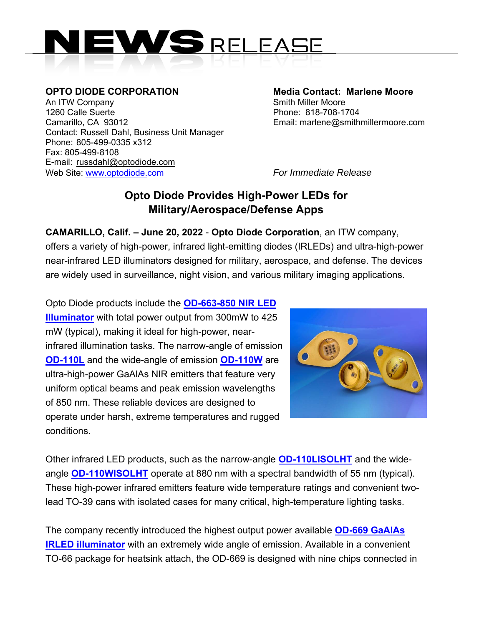

An ITW Company **Smith Miller Moore** 1260 Calle Suerte Phone: 818-708-1704 Camarillo, CA 93012 Email: marlene@smithmillermoore.com Contact: Russell Dahl, Business Unit Manager Phone: 805-499-0335 x312 Fax: 805-499-8108 E-mail: russdahl@optodiode.com Web Site: www.optodiode.com *For Immediate Release*

**OPTO DIODE CORPORATION Media Contact: Marlene Moore** 

## **Opto Diode Provides High-Power LEDs for Military/Aerospace/Defense Apps**

**CAMARILLO, Calif. – June 20, 2022** - **Opto Diode Corporation**, an ITW company, offers a variety of high-power, infrared light-emitting diodes (IRLEDs) and ultra-high-power near-infrared LED illuminators designed for military, aerospace, and defense. The devices are widely used in surveillance, night vision, and various military imaging applications.

Opto Diode products include the **OD-663-850 NIR LED Illuminator** with total power output from 300mW to 425 mW (typical), making it ideal for high-power, nearinfrared illumination tasks. The narrow-angle of emission **OD-110L** and the wide-angle of emission **OD-110W** are ultra-high-power GaAlAs NIR emitters that feature very uniform optical beams and peak emission wavelengths of 850 nm. These reliable devices are designed to operate under harsh, extreme temperatures and rugged conditions.



Other infrared LED products, such as the narrow-angle **OD-110LISOLHT** and the wideangle **OD-110WISOLHT** operate at 880 nm with a spectral bandwidth of 55 nm (typical). These high-power infrared emitters feature wide temperature ratings and convenient twolead TO-39 cans with isolated cases for many critical, high-temperature lighting tasks.

The company recently introduced the highest output power available **OD-669 GaAlAs IRLED illuminator** with an extremely wide angle of emission. Available in a convenient TO-66 package for heatsink attach, the OD-669 is designed with nine chips connected in